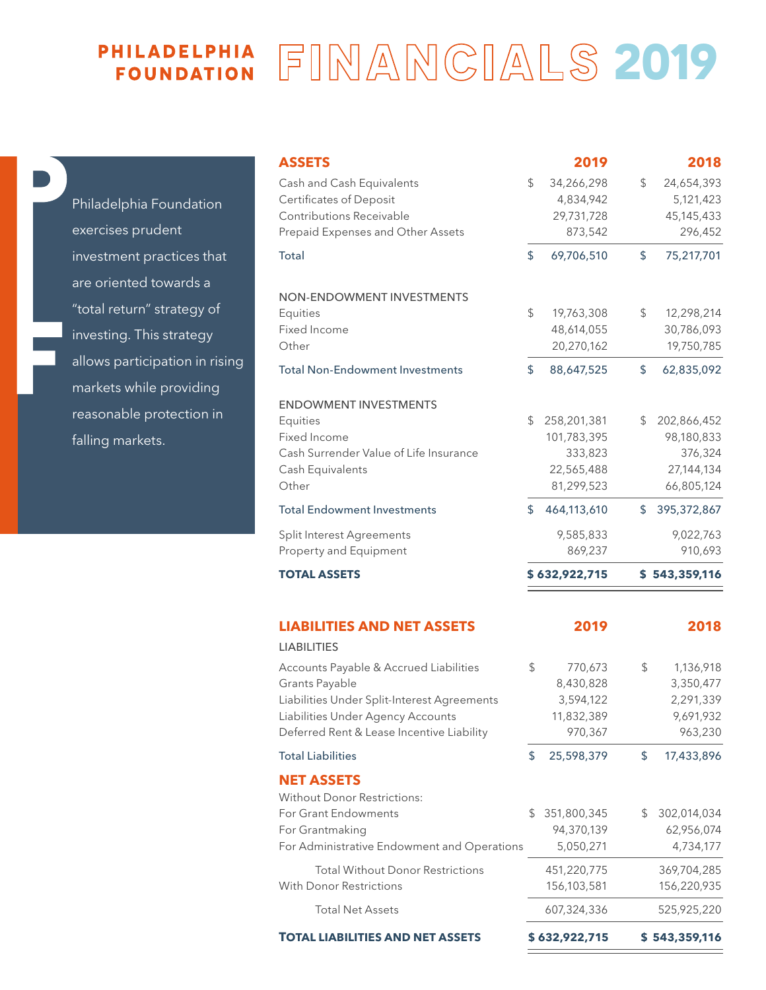## **PHILADELPHIA FINANCIALS 2019**

| Philadelphia Foundation        |
|--------------------------------|
| exercises prudent              |
| investment practices that      |
| are oriented towards a         |
| "total return" strategy of     |
| investing. This strategy       |
| allows participation in rising |
| markets while providing        |
| reasonable protection in       |
| falling markets.               |

| <b>ASSETS</b>                               |    | 2019          | 2018                |
|---------------------------------------------|----|---------------|---------------------|
| Cash and Cash Equivalents                   | \$ | 34,266,298    | \$<br>24,654,393    |
| Certificates of Deposit                     |    | 4,834,942     | 5,121,423           |
| Contributions Receivable                    |    | 29,731,728    | 45, 145, 433        |
| Prepaid Expenses and Other Assets           |    | 873,542       | 296,452             |
| Total                                       | \$ | 69,706,510    | \$<br>75,217,701    |
| NON-ENDOWMENT INVESTMENTS                   |    |               |                     |
| Equities                                    | \$ | 19,763,308    | \$<br>12,298,214    |
| Fixed Income                                |    | 48,614,055    | 30,786,093          |
| Other                                       |    | 20,270,162    | 19,750,785          |
| <b>Total Non-Endowment Investments</b>      | \$ | 88,647,525    | \$<br>62,835,092    |
| <b>ENDOWMENT INVESTMENTS</b>                |    |               |                     |
| Equities                                    | \$ | 258,201,381   | \$<br>202,866,452   |
| Fixed Income                                |    | 101,783,395   | 98,180,833          |
| Cash Surrender Value of Life Insurance      |    | 333,823       | 376,324             |
| Cash Equivalents                            |    | 22,565,488    | 27,144,134          |
| Other                                       |    | 81,299,523    | 66,805,124          |
| <b>Total Endowment Investments</b>          | \$ | 464,113,610   | \$<br>395, 372, 867 |
| Split Interest Agreements                   |    | 9,585,833     | 9,022,763           |
| Property and Equipment                      |    | 869,237       | 910,693             |
| <b>TOTAL ASSETS</b>                         |    | \$632,922,715 | \$543,359,116       |
| <b>LIABILITIES AND NET ASSETS</b>           |    | 2019          | 2018                |
| <b>LIABILITIES</b>                          |    |               |                     |
| Accounts Payable & Accrued Liabilities      | \$ | 770,673       | \$<br>1,136,918     |
| Grants Payable                              |    | 8,430,828     | 3,350,477           |
| Liabilities Under Split-Interest Agreements |    | 3,594,122     | 2,291,339           |
| Liabilities Under Agency Accounts           |    | 11,832,389    | 9,691,932           |
| Deferred Rent & Lease Incentive Liability   |    | 970,367       | 963,230             |
| Total Liabilities                           | \$ | 25,598,379    | \$<br>17,433,896    |
| <b>NET ASSETS</b>                           |    |               |                     |
| Without Donor Restrictions:                 |    |               |                     |
| For Grant Endowments                        | S  | 351,800,345   | \$<br>302,014,034   |
| For Grantmaking                             |    | 94,370,139    | 62,956,074          |
| For Administrative Endowment and Operations |    | 5,050,271     | 4,734,177           |

|                                         |                   | -- - -              |
|-----------------------------------------|-------------------|---------------------|
| nd Cash Equivalents                     | \$<br>34,266,298  | \$<br>24,654,393    |
| cates of Deposit                        | 4,834,942         | 5,121,423           |
| butions Receivable                      | 29,731,728        | 45, 145, 433        |
| d Expenses and Other Assets             | 873,542           | 296,452             |
|                                         | \$<br>69,706,510  | \$<br>75,217,701    |
|                                         |                   |                     |
| <b>ENDOWMENT INVESTMENTS</b>            |                   |                     |
| θŚ                                      | \$<br>19,763,308  | \$<br>12,298,214    |
| ncome                                   | 48,614,055        | 30,786,093          |
|                                         | 20,270,162        | 19,750,785          |
| <b>Jon-Endowment Investments</b>        | \$<br>88,647,525  | \$<br>62,835,092    |
| <b>WMENT INVESTMENTS</b>                |                   |                     |
| эS                                      | \$<br>258,201,381 | \$<br>202,866,452   |
| ncome                                   | 101,783,395       | 98,180,833          |
| iurrender Value of Life Insurance       | 333,823           | 376,324             |
| quivalents                              | 22,565,488        | 27,144,134          |
|                                         | 81,299,523        | 66,805,124          |
| indowment Investments                   | \$<br>464,113,610 | \$<br>395, 372, 867 |
| terest Agreements                       | 9,585,833         | 9,022,763           |
| ty and Equipment                        | 869,237           | 910,693             |
| <b>. ASSETS</b>                         | \$632,922,715     | \$543,359,116       |
|                                         |                   |                     |
| <b>LITIES AND NET ASSETS</b>            | 2019              | 2018                |
| <b>ITIES</b>                            |                   |                     |
| nts Payable & Accrued Liabilities       | \$<br>770,673     | \$<br>1,136,918     |
| Payable                                 | 8,430,828         | 3,350,477           |
| ies Under Split-Interest Agreements     | 3,594,122         | 2,291,339           |
| ies Under Agency Accounts               | 11,832,389        | 9,691,932           |
| ed Rent & Lease Incentive Liability     | 970,367           | 963,230             |
| iabilities                              | \$<br>25,598,379  | \$<br>17,433,896    |
| <b>ASSETS</b>                           |                   |                     |
| ut Donor Restrictions:                  |                   |                     |
| ant Endowments                          | \$<br>351,800,345 | \$<br>302,014,034   |
| antmaking                               | 94,370,139        | 62,956,074          |
| Iministrative Endowment and Operations  | 5,050,271         | 4,734,177           |
| <b>Total Without Donor Restrictions</b> | 451,220,775       | 369,704,285         |
| <b>Onor Restrictions</b>                | 156,103,581       | 156,220,935         |
| <b>Total Net Assets</b>                 | 607.324.336       | 525.925.220         |

**TOTAL LIABILITIES AND NET ASSETS \$ 632,922,715 \$ 543,359,116** 

With Donor Restrictions

Total Net Assets